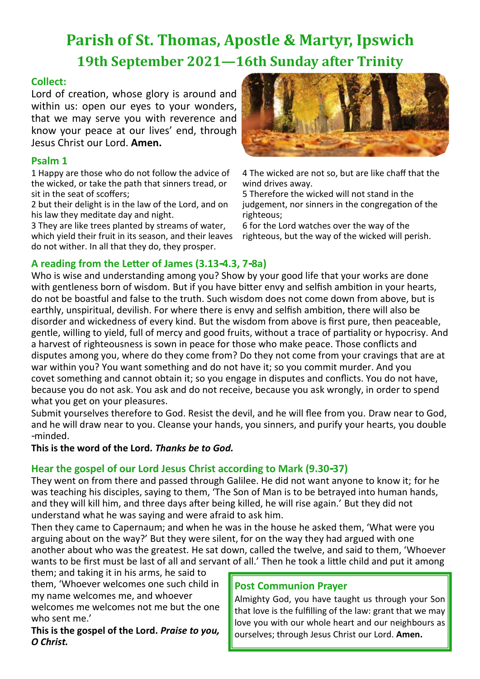# **Parish of St. Thomas, Apostle & Martyr, Ipswich 19th September 2021—16th Sunday after Trinity**

## **Collect:**

Lord of creation, whose glory is around and within us: open our eyes to your wonders, that we may serve you with reverence and know your peace at our lives' end, through Jesus Christ our Lord. **Amen.**

## **Psalm 1**

1 Happy are those who do not follow the advice of the wicked, or take the path that sinners tread, or sit in the seat of scoffers;

2 but their delight is in the law of the Lord, and on his law they meditate day and night.

3 They are like trees planted by streams of water, which yield their fruit in its season, and their leaves do not wither. In all that they do, they prosper.



4 The wicked are not so, but are like chaff that the wind drives away.

5 Therefore the wicked will not stand in the judgement, nor sinners in the congregation of the righteous;

6 for the Lord watches over the way of the righteous, but the way of the wicked will perish.

# **A reading from the Letter of James (3.13-4.3, 7-8a)**

Who is wise and understanding among you? Show by your good life that your works are done with gentleness born of wisdom. But if you have bitter envy and selfish ambition in your hearts, do not be boastful and false to the truth. Such wisdom does not come down from above, but is earthly, unspiritual, devilish. For where there is envy and selfish ambition, there will also be disorder and wickedness of every kind. But the wisdom from above is first pure, then peaceable, gentle, willing to yield, full of mercy and good fruits, without a trace of partiality or hypocrisy. And a harvest of righteousness is sown in peace for those who make peace. Those conflicts and disputes among you, where do they come from? Do they not come from your cravings that are at war within you? You want something and do not have it; so you commit murder. And you covet something and cannot obtain it; so you engage in disputes and conflicts. You do not have, because you do not ask. You ask and do not receive, because you ask wrongly, in order to spend what you get on your pleasures.

Submit yourselves therefore to God. Resist the devil, and he will flee from you. Draw near to God, and he will draw near to you. Cleanse your hands, you sinners, and purify your hearts, you double -minded.

## **This is the word of the Lord.** *Thanks be to God.*

## **Hear the gospel of our Lord Jesus Christ according to Mark (9.30-37)**

They went on from there and passed through Galilee. He did not want anyone to know it; for he was teaching his disciples, saying to them, 'The Son of Man is to be betrayed into human hands, and they will kill him, and three days after being killed, he will rise again.' But they did not understand what he was saying and were afraid to ask him.

Then they came to Capernaum; and when he was in the house he asked them, 'What were you arguing about on the way?' But they were silent, for on the way they had argued with one another about who was the greatest. He sat down, called the twelve, and said to them, 'Whoever wants to be first must be last of all and servant of all.' Then he took a little child and put it among

them; and taking it in his arms, he said to them, 'Whoever welcomes one such child in my name welcomes me, and whoever welcomes me welcomes not me but the one who sent me.'

**This is the gospel of the Lord.** *Praise to you, O Christ.*

#### **Post Communion Prayer**

Almighty God, you have taught us through your Son that love is the fulfilling of the law: grant that we may love you with our whole heart and our neighbours as ourselves; through Jesus Christ our Lord. **Amen.**